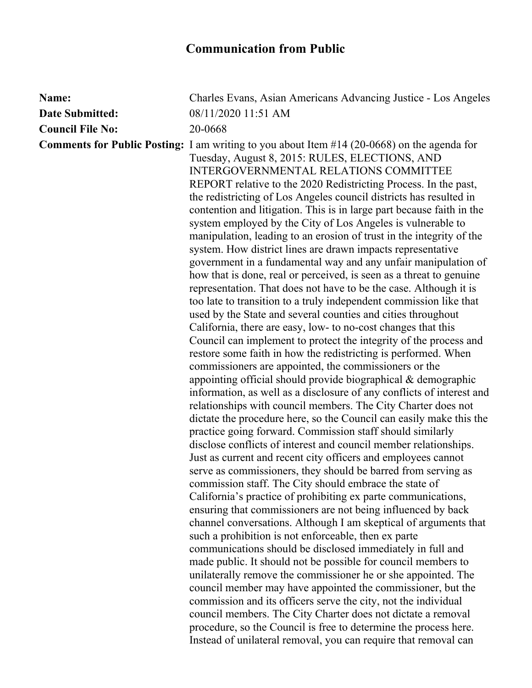## **Communication from Public**

| Name:                   | Charles Evans, Asian Americans Advancing Justice - Los Angeles                                                                                                                                                                                                                                                                                                                                                                                                                                                                                                                                                                                                                                                                                                                                                                                                                                                                                                                                                                                                                                                                                                                                                                                                                                                                                                                                                                                                                                                                                                                                                                                                                                                                                                                                                                                                                                                                                                                                                                                                                                                                                                                                                                                                                                                                                                                                                                                                                                                                                                                                       |
|-------------------------|------------------------------------------------------------------------------------------------------------------------------------------------------------------------------------------------------------------------------------------------------------------------------------------------------------------------------------------------------------------------------------------------------------------------------------------------------------------------------------------------------------------------------------------------------------------------------------------------------------------------------------------------------------------------------------------------------------------------------------------------------------------------------------------------------------------------------------------------------------------------------------------------------------------------------------------------------------------------------------------------------------------------------------------------------------------------------------------------------------------------------------------------------------------------------------------------------------------------------------------------------------------------------------------------------------------------------------------------------------------------------------------------------------------------------------------------------------------------------------------------------------------------------------------------------------------------------------------------------------------------------------------------------------------------------------------------------------------------------------------------------------------------------------------------------------------------------------------------------------------------------------------------------------------------------------------------------------------------------------------------------------------------------------------------------------------------------------------------------------------------------------------------------------------------------------------------------------------------------------------------------------------------------------------------------------------------------------------------------------------------------------------------------------------------------------------------------------------------------------------------------------------------------------------------------------------------------------------------------|
| <b>Date Submitted:</b>  | 08/11/2020 11:51 AM                                                                                                                                                                                                                                                                                                                                                                                                                                                                                                                                                                                                                                                                                                                                                                                                                                                                                                                                                                                                                                                                                                                                                                                                                                                                                                                                                                                                                                                                                                                                                                                                                                                                                                                                                                                                                                                                                                                                                                                                                                                                                                                                                                                                                                                                                                                                                                                                                                                                                                                                                                                  |
| <b>Council File No:</b> | 20-0668                                                                                                                                                                                                                                                                                                                                                                                                                                                                                                                                                                                                                                                                                                                                                                                                                                                                                                                                                                                                                                                                                                                                                                                                                                                                                                                                                                                                                                                                                                                                                                                                                                                                                                                                                                                                                                                                                                                                                                                                                                                                                                                                                                                                                                                                                                                                                                                                                                                                                                                                                                                              |
|                         | <b>Comments for Public Posting:</b> I am writing to you about Item $#14$ (20-0668) on the agenda for<br>Tuesday, August 8, 2015: RULES, ELECTIONS, AND<br><b>INTERGOVERNMENTAL RELATIONS COMMITTEE</b><br>REPORT relative to the 2020 Redistricting Process. In the past,<br>the redistricting of Los Angeles council districts has resulted in<br>contention and litigation. This is in large part because faith in the<br>system employed by the City of Los Angeles is vulnerable to<br>manipulation, leading to an erosion of trust in the integrity of the<br>system. How district lines are drawn impacts representative<br>government in a fundamental way and any unfair manipulation of<br>how that is done, real or perceived, is seen as a threat to genuine<br>representation. That does not have to be the case. Although it is<br>too late to transition to a truly independent commission like that<br>used by the State and several counties and cities throughout<br>California, there are easy, low- to no-cost changes that this<br>Council can implement to protect the integrity of the process and<br>restore some faith in how the redistricting is performed. When<br>commissioners are appointed, the commissioners or the<br>appointing official should provide biographical & demographic<br>information, as well as a disclosure of any conflicts of interest and<br>relationships with council members. The City Charter does not<br>dictate the procedure here, so the Council can easily make this the<br>practice going forward. Commission staff should similarly<br>disclose conflicts of interest and council member relationships.<br>Just as current and recent city officers and employees cannot<br>serve as commissioners, they should be barred from serving as<br>commission staff. The City should embrace the state of<br>California's practice of prohibiting ex parte communications,<br>ensuring that commissioners are not being influenced by back<br>channel conversations. Although I am skeptical of arguments that<br>such a prohibition is not enforceable, then ex parte<br>communications should be disclosed immediately in full and<br>made public. It should not be possible for council members to<br>unilaterally remove the commissioner he or she appointed. The<br>council member may have appointed the commissioner, but the<br>commission and its officers serve the city, not the individual<br>council members. The City Charter does not dictate a removal<br>procedure, so the Council is free to determine the process here. |
|                         | Instead of unilateral removal, you can require that removal can                                                                                                                                                                                                                                                                                                                                                                                                                                                                                                                                                                                                                                                                                                                                                                                                                                                                                                                                                                                                                                                                                                                                                                                                                                                                                                                                                                                                                                                                                                                                                                                                                                                                                                                                                                                                                                                                                                                                                                                                                                                                                                                                                                                                                                                                                                                                                                                                                                                                                                                                      |